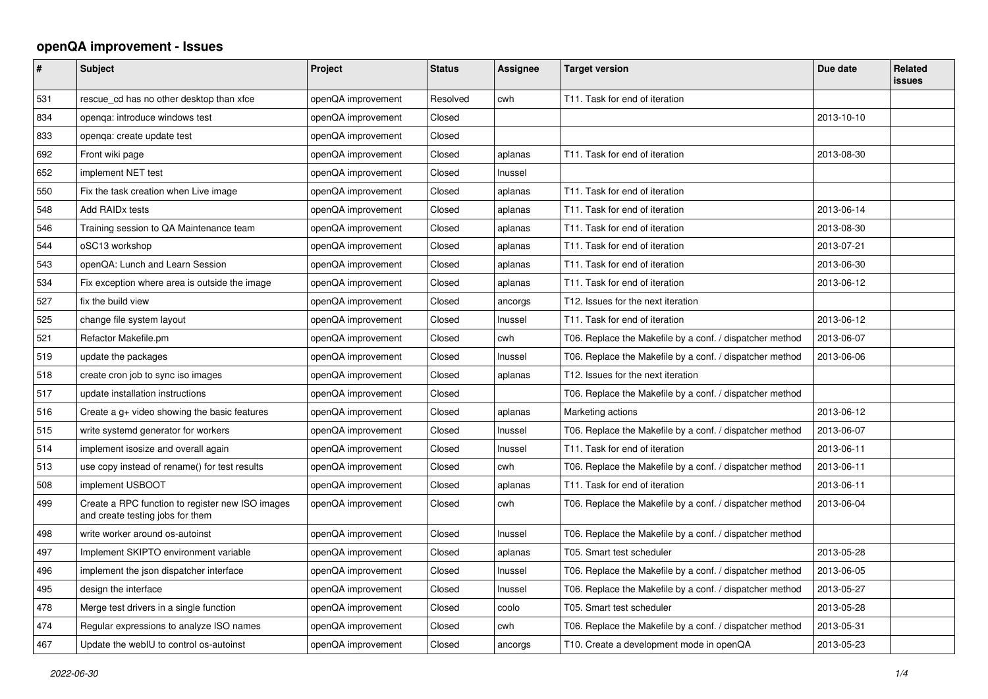## **openQA improvement - Issues**

| $\sharp$ | <b>Subject</b>                                                                       | Project            | <b>Status</b> | Assignee | <b>Target version</b>                                    | Due date   | <b>Related</b><br><b>issues</b> |
|----------|--------------------------------------------------------------------------------------|--------------------|---------------|----------|----------------------------------------------------------|------------|---------------------------------|
| 531      | rescue cd has no other desktop than xfce                                             | openQA improvement | Resolved      | cwh      | T11. Task for end of iteration                           |            |                                 |
| 834      | openga: introduce windows test                                                       | openQA improvement | Closed        |          |                                                          | 2013-10-10 |                                 |
| 833      | openga: create update test                                                           | openQA improvement | Closed        |          |                                                          |            |                                 |
| 692      | Front wiki page                                                                      | openQA improvement | Closed        | aplanas  | T11. Task for end of iteration                           | 2013-08-30 |                                 |
| 652      | implement NET test                                                                   | openQA improvement | Closed        | Inussel  |                                                          |            |                                 |
| 550      | Fix the task creation when Live image                                                | openQA improvement | Closed        | aplanas  | T11. Task for end of iteration                           |            |                                 |
| 548      | Add RAID <sub>x</sub> tests                                                          | openQA improvement | Closed        | aplanas  | T11. Task for end of iteration                           | 2013-06-14 |                                 |
| 546      | Training session to QA Maintenance team                                              | openQA improvement | Closed        | aplanas  | T11. Task for end of iteration                           | 2013-08-30 |                                 |
| 544      | oSC13 workshop                                                                       | openQA improvement | Closed        | aplanas  | T11. Task for end of iteration                           | 2013-07-21 |                                 |
| 543      | openQA: Lunch and Learn Session                                                      | openQA improvement | Closed        | aplanas  | T11. Task for end of iteration                           | 2013-06-30 |                                 |
| 534      | Fix exception where area is outside the image                                        | openQA improvement | Closed        | aplanas  | T11. Task for end of iteration                           | 2013-06-12 |                                 |
| 527      | fix the build view                                                                   | openQA improvement | Closed        | ancorgs  | T12. Issues for the next iteration                       |            |                                 |
| 525      | change file system layout                                                            | openQA improvement | Closed        | Inussel  | T11. Task for end of iteration                           | 2013-06-12 |                                 |
| 521      | Refactor Makefile.pm                                                                 | openQA improvement | Closed        | cwh      | T06. Replace the Makefile by a conf. / dispatcher method | 2013-06-07 |                                 |
| 519      | update the packages                                                                  | openQA improvement | Closed        | Inussel  | T06. Replace the Makefile by a conf. / dispatcher method | 2013-06-06 |                                 |
| 518      | create cron job to sync iso images                                                   | openQA improvement | Closed        | aplanas  | T12. Issues for the next iteration                       |            |                                 |
| 517      | update installation instructions                                                     | openQA improvement | Closed        |          | T06. Replace the Makefile by a conf. / dispatcher method |            |                                 |
| 516      | Create a g+ video showing the basic features                                         | openQA improvement | Closed        | aplanas  | Marketing actions                                        | 2013-06-12 |                                 |
| 515      | write systemd generator for workers                                                  | openQA improvement | Closed        | Inussel  | T06. Replace the Makefile by a conf. / dispatcher method | 2013-06-07 |                                 |
| 514      | implement isosize and overall again                                                  | openQA improvement | Closed        | Inussel  | T11. Task for end of iteration                           | 2013-06-11 |                                 |
| 513      | use copy instead of rename() for test results                                        | openQA improvement | Closed        | cwh      | T06. Replace the Makefile by a conf. / dispatcher method | 2013-06-11 |                                 |
| 508      | implement USBOOT                                                                     | openQA improvement | Closed        | aplanas  | T11. Task for end of iteration                           | 2013-06-11 |                                 |
| 499      | Create a RPC function to register new ISO images<br>and create testing jobs for them | openQA improvement | Closed        | cwh      | T06. Replace the Makefile by a conf. / dispatcher method | 2013-06-04 |                                 |
| 498      | write worker around os-autoinst                                                      | openQA improvement | Closed        | Inussel  | T06. Replace the Makefile by a conf. / dispatcher method |            |                                 |
| 497      | Implement SKIPTO environment variable                                                | openQA improvement | Closed        | aplanas  | T05. Smart test scheduler                                | 2013-05-28 |                                 |
| 496      | implement the json dispatcher interface                                              | openQA improvement | Closed        | Inussel  | T06. Replace the Makefile by a conf. / dispatcher method | 2013-06-05 |                                 |
| 495      | design the interface                                                                 | openQA improvement | Closed        | Inussel  | T06. Replace the Makefile by a conf. / dispatcher method | 2013-05-27 |                                 |
| 478      | Merge test drivers in a single function                                              | openQA improvement | Closed        | coolo    | T05. Smart test scheduler                                | 2013-05-28 |                                 |
| 474      | Regular expressions to analyze ISO names                                             | openQA improvement | Closed        | cwh      | T06. Replace the Makefile by a conf. / dispatcher method | 2013-05-31 |                                 |
| 467      | Update the webIU to control os-autoinst                                              | openQA improvement | Closed        | ancorgs  | T10. Create a development mode in openQA                 | 2013-05-23 |                                 |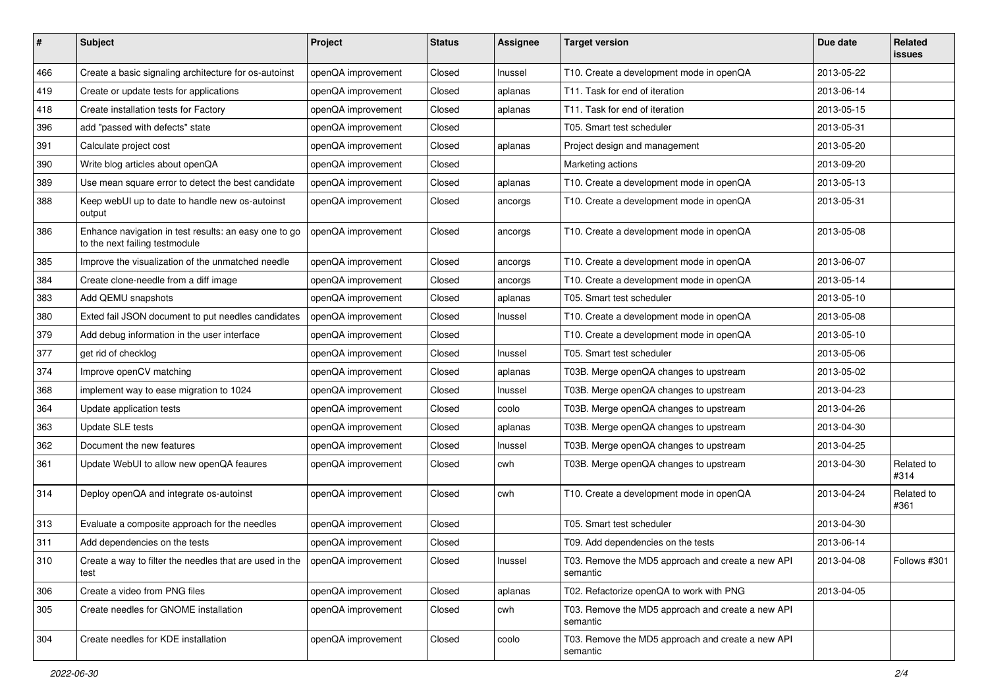| $\#$ | Subject                                                                                 | Project            | <b>Status</b> | <b>Assignee</b> | <b>Target version</b>                                         | Due date   | <b>Related</b><br><b>issues</b> |
|------|-----------------------------------------------------------------------------------------|--------------------|---------------|-----------------|---------------------------------------------------------------|------------|---------------------------------|
| 466  | Create a basic signaling architecture for os-autoinst                                   | openQA improvement | Closed        | Inussel         | T10. Create a development mode in openQA                      | 2013-05-22 |                                 |
| 419  | Create or update tests for applications                                                 | openQA improvement | Closed        | aplanas         | T11. Task for end of iteration                                | 2013-06-14 |                                 |
| 418  | Create installation tests for Factory                                                   | openQA improvement | Closed        | aplanas         | T11. Task for end of iteration                                | 2013-05-15 |                                 |
| 396  | add "passed with defects" state                                                         | openQA improvement | Closed        |                 | T05. Smart test scheduler                                     | 2013-05-31 |                                 |
| 391  | Calculate project cost                                                                  | openQA improvement | Closed        | aplanas         | Project design and management                                 | 2013-05-20 |                                 |
| 390  | Write blog articles about openQA                                                        | openQA improvement | Closed        |                 | Marketing actions                                             | 2013-09-20 |                                 |
| 389  | Use mean square error to detect the best candidate                                      | openQA improvement | Closed        | aplanas         | T10. Create a development mode in openQA                      | 2013-05-13 |                                 |
| 388  | Keep webUI up to date to handle new os-autoinst<br>output                               | openQA improvement | Closed        | ancorgs         | T10. Create a development mode in openQA                      | 2013-05-31 |                                 |
| 386  | Enhance navigation in test results: an easy one to go<br>to the next failing testmodule | openQA improvement | Closed        | ancorgs         | T10. Create a development mode in openQA                      | 2013-05-08 |                                 |
| 385  | Improve the visualization of the unmatched needle                                       | openQA improvement | Closed        | ancorgs         | T10. Create a development mode in openQA                      | 2013-06-07 |                                 |
| 384  | Create clone-needle from a diff image                                                   | openQA improvement | Closed        | ancorgs         | T10. Create a development mode in openQA                      | 2013-05-14 |                                 |
| 383  | Add QEMU snapshots                                                                      | openQA improvement | Closed        | aplanas         | T05. Smart test scheduler                                     | 2013-05-10 |                                 |
| 380  | Exted fail JSON document to put needles candidates                                      | openQA improvement | Closed        | Inussel         | T10. Create a development mode in openQA                      | 2013-05-08 |                                 |
| 379  | Add debug information in the user interface                                             | openQA improvement | Closed        |                 | T10. Create a development mode in openQA                      | 2013-05-10 |                                 |
| 377  | get rid of checklog                                                                     | openQA improvement | Closed        | Inussel         | T05. Smart test scheduler                                     | 2013-05-06 |                                 |
| 374  | Improve openCV matching                                                                 | openQA improvement | Closed        | aplanas         | T03B. Merge openQA changes to upstream                        | 2013-05-02 |                                 |
| 368  | implement way to ease migration to 1024                                                 | openQA improvement | Closed        | Inussel         | T03B. Merge openQA changes to upstream                        | 2013-04-23 |                                 |
| 364  | Update application tests                                                                | openQA improvement | Closed        | coolo           | T03B. Merge openQA changes to upstream                        | 2013-04-26 |                                 |
| 363  | Update SLE tests                                                                        | openQA improvement | Closed        | aplanas         | T03B. Merge openQA changes to upstream                        | 2013-04-30 |                                 |
| 362  | Document the new features                                                               | openQA improvement | Closed        | Inussel         | T03B. Merge openQA changes to upstream                        | 2013-04-25 |                                 |
| 361  | Update WebUI to allow new openQA feaures                                                | openQA improvement | Closed        | cwh             | T03B. Merge openQA changes to upstream                        | 2013-04-30 | Related to<br>#314              |
| 314  | Deploy openQA and integrate os-autoinst                                                 | openQA improvement | Closed        | cwh             | T10. Create a development mode in openQA                      | 2013-04-24 | Related to<br>#361              |
| 313  | Evaluate a composite approach for the needles                                           | openQA improvement | Closed        |                 | T05. Smart test scheduler                                     | 2013-04-30 |                                 |
| 311  | Add dependencies on the tests                                                           | openQA improvement | Closed        |                 | T09. Add dependencies on the tests                            | 2013-06-14 |                                 |
| 310  | Create a way to filter the needles that are used in the<br>test                         | openQA improvement | Closed        | Inussel         | T03. Remove the MD5 approach and create a new API<br>semantic | 2013-04-08 | Follows #301                    |
| 306  | Create a video from PNG files                                                           | openQA improvement | Closed        | aplanas         | T02. Refactorize openQA to work with PNG                      | 2013-04-05 |                                 |
| 305  | Create needles for GNOME installation                                                   | openQA improvement | Closed        | cwh             | T03. Remove the MD5 approach and create a new API<br>semantic |            |                                 |
| 304  | Create needles for KDE installation                                                     | openQA improvement | Closed        | coolo           | T03. Remove the MD5 approach and create a new API<br>semantic |            |                                 |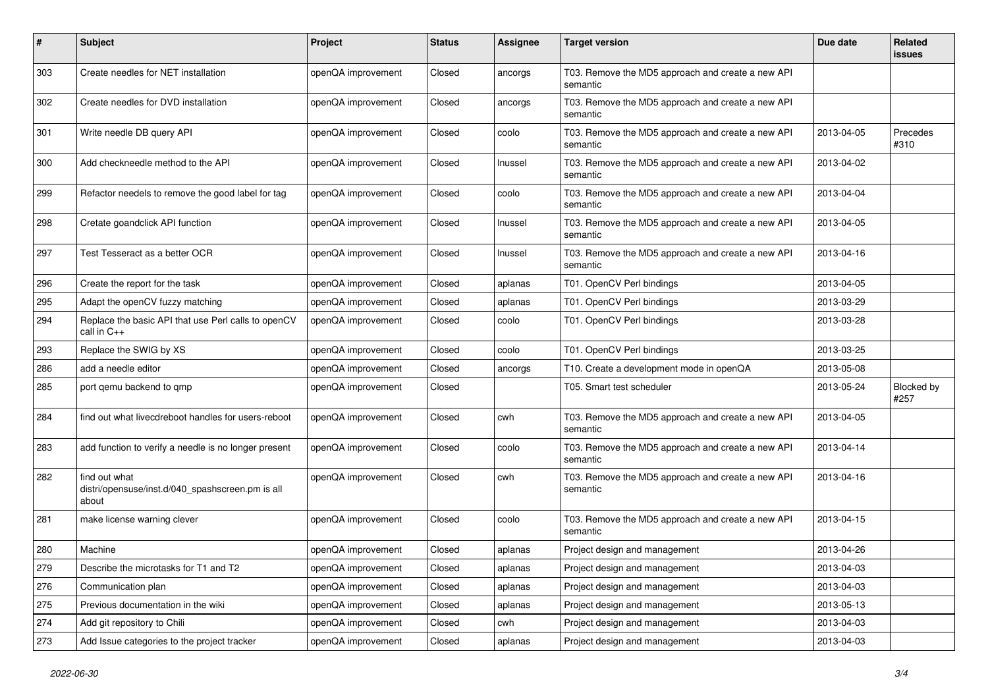| $\#$ | <b>Subject</b>                                                             | Project            | <b>Status</b> | <b>Assignee</b> | <b>Target version</b>                                         | Due date   | <b>Related</b><br><b>issues</b> |
|------|----------------------------------------------------------------------------|--------------------|---------------|-----------------|---------------------------------------------------------------|------------|---------------------------------|
| 303  | Create needles for NET installation                                        | openQA improvement | Closed        | ancorgs         | T03. Remove the MD5 approach and create a new API<br>semantic |            |                                 |
| 302  | Create needles for DVD installation                                        | openQA improvement | Closed        | ancorgs         | T03. Remove the MD5 approach and create a new API<br>semantic |            |                                 |
| 301  | Write needle DB query API                                                  | openQA improvement | Closed        | coolo           | T03. Remove the MD5 approach and create a new API<br>semantic | 2013-04-05 | Precedes<br>#310                |
| 300  | Add checkneedle method to the API                                          | openQA improvement | Closed        | Inussel         | T03. Remove the MD5 approach and create a new API<br>semantic | 2013-04-02 |                                 |
| 299  | Refactor needels to remove the good label for tag                          | openQA improvement | Closed        | coolo           | T03. Remove the MD5 approach and create a new API<br>semantic | 2013-04-04 |                                 |
| 298  | Cretate goandclick API function                                            | openQA improvement | Closed        | Inussel         | T03. Remove the MD5 approach and create a new API<br>semantic | 2013-04-05 |                                 |
| 297  | Test Tesseract as a better OCR                                             | openQA improvement | Closed        | Inussel         | T03. Remove the MD5 approach and create a new API<br>semantic | 2013-04-16 |                                 |
| 296  | Create the report for the task                                             | openQA improvement | Closed        | aplanas         | T01. OpenCV Perl bindings                                     | 2013-04-05 |                                 |
| 295  | Adapt the openCV fuzzy matching                                            | openQA improvement | Closed        | aplanas         | T01. OpenCV Perl bindings                                     | 2013-03-29 |                                 |
| 294  | Replace the basic API that use Perl calls to openCV<br>call in C++         | openQA improvement | Closed        | coolo           | T01. OpenCV Perl bindings                                     | 2013-03-28 |                                 |
| 293  | Replace the SWIG by XS                                                     | openQA improvement | Closed        | coolo           | T01. OpenCV Perl bindings                                     | 2013-03-25 |                                 |
| 286  | add a needle editor                                                        | openQA improvement | Closed        | ancorgs         | T10. Create a development mode in openQA                      | 2013-05-08 |                                 |
| 285  | port qemu backend to qmp                                                   | openQA improvement | Closed        |                 | T05. Smart test scheduler                                     | 2013-05-24 | Blocked by<br>#257              |
| 284  | find out what livecdreboot handles for users-reboot                        | openQA improvement | Closed        | cwh             | T03. Remove the MD5 approach and create a new API<br>semantic | 2013-04-05 |                                 |
| 283  | add function to verify a needle is no longer present                       | openQA improvement | Closed        | coolo           | T03. Remove the MD5 approach and create a new API<br>semantic | 2013-04-14 |                                 |
| 282  | find out what<br>distri/opensuse/inst.d/040_spashscreen.pm is all<br>about | openQA improvement | Closed        | cwh             | T03. Remove the MD5 approach and create a new API<br>semantic | 2013-04-16 |                                 |
| 281  | make license warning clever                                                | openQA improvement | Closed        | coolo           | T03. Remove the MD5 approach and create a new API<br>semantic | 2013-04-15 |                                 |
| 280  | Machine                                                                    | openQA improvement | Closed        | aplanas         | Project design and management                                 | 2013-04-26 |                                 |
| 279  | Describe the microtasks for T1 and T2                                      | openQA improvement | Closed        | aplanas         | Project design and management                                 | 2013-04-03 |                                 |
| 276  | Communication plan                                                         | openQA improvement | Closed        | aplanas         | Project design and management                                 | 2013-04-03 |                                 |
| 275  | Previous documentation in the wiki                                         | openQA improvement | Closed        | aplanas         | Project design and management                                 | 2013-05-13 |                                 |
| 274  | Add git repository to Chili                                                | openQA improvement | Closed        | cwh             | Project design and management                                 | 2013-04-03 |                                 |
| 273  | Add Issue categories to the project tracker                                | openQA improvement | Closed        | aplanas         | Project design and management                                 | 2013-04-03 |                                 |